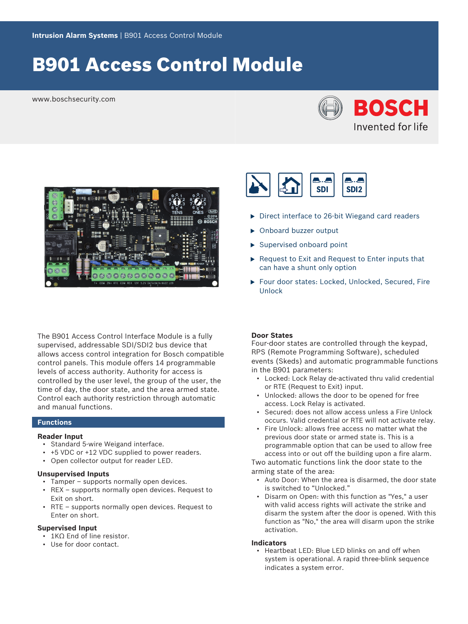# B901 Access Control Module

www.boschsecurity.com





The B901 Access Control Interface Module is a fully supervised, addressable SDI/SDI2 bus device that allows access control integration for Bosch compatible control panels. This module offers 14 programmable levels of access authority. Authority for access is controlled by the user level, the group of the user, the time of day, the door state, and the area armed state. Control each authority restriction through automatic and manual functions.

## **Functions**

### **Reader Input**

- Standard 5-wire Weigand interface.
- +5 VDC or +12 VDC supplied to power readers.
- Open collector output for reader LED.

#### **Unsupervised Inputs**

- Tamper supports normally open devices.
- REX supports normally open devices. Request to Exit on short.
- RTE supports normally open devices. Request to Enter on short.

### **Supervised Input**

- 1KΩ End of line resistor.
- Use for door contact.



- $\triangleright$  Direct interface to 26-bit Wiegand card readers
- ▶ Onboard buzzer output
- $\blacktriangleright$  Supervised onboard point
- $\triangleright$  Request to Exit and Request to Enter inputs that can have a shunt only option
- ▶ Four door states: Locked, Unlocked, Secured, Fire Unlock

# **Door States**

Four-door states are controlled through the keypad, RPS (Remote Programming Software), scheduled events (Skeds) and automatic programmable functions in the B901 parameters:

- Locked: Lock Relay de-activated thru valid credential or RTE (Request to Exit) input.
- Unlocked: allows the door to be opened for free access. Lock Relay is activated.
- Secured: does not allow access unless a Fire Unlock occurs. Valid credential or RTE will not activate relay.
- Fire Unlock: allows free access no matter what the previous door state or armed state is. This is a programmable option that can be used to allow free access into or out off the building upon a fire alarm.

Two automatic functions link the door state to the arming state of the area:

- Auto Door: When the area is disarmed, the door state is switched to "Unlocked."
- Disarm on Open: with this function as "Yes," a user with valid access rights will activate the strike and disarm the system after the door is opened. With this function as "No," the area will disarm upon the strike activation.

#### **Indicators**

• Heartbeat LED: Blue LED blinks on and off when system is operational. A rapid three-blink sequence indicates a system error.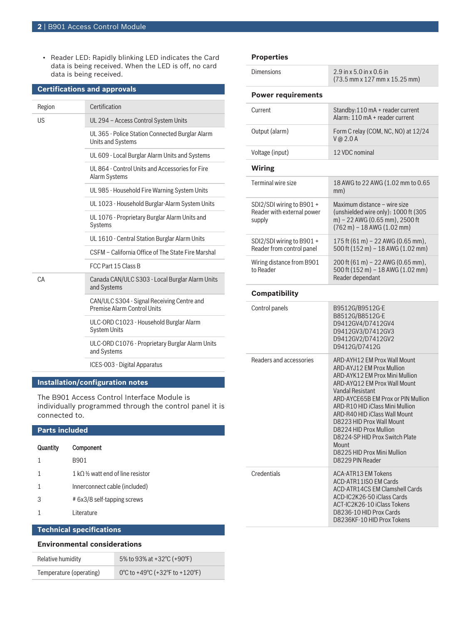• Reader LED: Rapidly blinking LED indicates the Card data is being received. When the LED is off, no card data is being received.

| <b>Certifications and approvals</b> |                                                                                  |  |  |
|-------------------------------------|----------------------------------------------------------------------------------|--|--|
| Region                              | Certification                                                                    |  |  |
| US                                  | UL 294 - Access Control System Units                                             |  |  |
|                                     | UL 365 - Police Station Connected Burglar Alarm<br>Units and Systems             |  |  |
|                                     | UL 609 - Local Burglar Alarm Units and Systems                                   |  |  |
|                                     | UL 864 - Control Units and Accessories for Fire<br>Alarm Systems                 |  |  |
|                                     | UL 985 - Household Fire Warning System Units                                     |  |  |
|                                     | UL 1023 - Household Burglar-Alarm System Units                                   |  |  |
|                                     | UL 1076 - Proprietary Burglar Alarm Units and<br>Systems                         |  |  |
|                                     | UL 1610 - Central Station Burglar Alarm Units                                    |  |  |
|                                     | CSFM - California Office of The State Fire Marshal                               |  |  |
|                                     | FCC Part 15 Class B                                                              |  |  |
| CA                                  | Canada CAN/ULC S303 - Local Burglar Alarm Units<br>and Systems                   |  |  |
|                                     | CAN/ULC S304 - Signal Receiving Centre and<br><b>Premise Alarm Control Units</b> |  |  |
|                                     | ULC-ORD C1023 - Household Burglar Alarm<br><b>System Units</b>                   |  |  |
|                                     | ULC-ORD C1076 - Proprietary Burglar Alarm Units<br>and Systems                   |  |  |
|                                     | ICES-003 - Digital Apparatus                                                     |  |  |
| Installation/configuration notes    |                                                                                  |  |  |
|                                     |                                                                                  |  |  |

The B901 Access Control Interface Module is individually programmed through the control panel it is connected to.

| <b>Parts included</b>           |                                              |  |
|---------------------------------|----------------------------------------------|--|
| Quantity                        | Component                                    |  |
| 1                               | B901                                         |  |
| 1                               | 1 kO $\frac{1}{2}$ watt end of line resistor |  |
| 1                               | Innerconnect cable (included)                |  |
| 3                               | # 6x3/8 self-tapping screws                  |  |
| 1                               | Literature                                   |  |
|                                 |                                              |  |
| <b>Technical specifications</b> |                                              |  |

# **Environmental considerations**

| Relative humidity       | 5% to 93% at +32 °C (+90 °F)   |
|-------------------------|--------------------------------|
| Temperature (operating) | 0°C to +49°C (+32°F to +120°F) |

# **Properties**

| <b>Dimensions</b>                                                 | 2.9 in x 5.0 in x 0.6 in<br>(73.5 mm x 127 mm x 15.25 mm)                                                                                                                                                                                                                                                                                                                                                                    |  |  |  |
|-------------------------------------------------------------------|------------------------------------------------------------------------------------------------------------------------------------------------------------------------------------------------------------------------------------------------------------------------------------------------------------------------------------------------------------------------------------------------------------------------------|--|--|--|
| <b>Power requirements</b>                                         |                                                                                                                                                                                                                                                                                                                                                                                                                              |  |  |  |
| Current                                                           | Standby:110 mA + reader current<br>Alarm: 110 mA + reader current                                                                                                                                                                                                                                                                                                                                                            |  |  |  |
| Output (alarm)                                                    | Form C relay (COM, NC, NO) at 12/24<br>V @ 2.0 A                                                                                                                                                                                                                                                                                                                                                                             |  |  |  |
| Voltage (input)                                                   | 12 VDC nominal                                                                                                                                                                                                                                                                                                                                                                                                               |  |  |  |
| <b>Wiring</b>                                                     |                                                                                                                                                                                                                                                                                                                                                                                                                              |  |  |  |
| <b>Terminal wire size</b>                                         | 18 AWG to 22 AWG (1.02 mm to 0.65<br>mm)                                                                                                                                                                                                                                                                                                                                                                                     |  |  |  |
| SDI2/SDI wiring to B901 +<br>Reader with external power<br>supply | Maximum distance - wire size<br>(unshielded wire only): 1000 ft (305<br>m) - 22 AWG (0.65 mm), 2500 ft<br>$(762 \text{ m}) - 18$ AWG $(1.02 \text{ mm})$                                                                                                                                                                                                                                                                     |  |  |  |
| SDI2/SDI wiring to B901 +<br>Reader from control panel            | 175 ft $(61 \text{ m})$ – 22 AWG $(0.65 \text{ mm})$ ,<br>500 ft (152 m) - 18 AWG (1.02 mm)                                                                                                                                                                                                                                                                                                                                  |  |  |  |
| Wiring distance from B901<br>to Reader                            | 200 ft (61 m) - 22 AWG (0.65 mm),<br>500 ft (152 m) - 18 AWG (1.02 mm)<br>Reader dependant                                                                                                                                                                                                                                                                                                                                   |  |  |  |
| Compatibility                                                     |                                                                                                                                                                                                                                                                                                                                                                                                                              |  |  |  |
| Control panels                                                    | B9512G/B9512G-E<br>B8512G/B8512G-E<br>D9412GV4/D7412GV4<br>D9412GV3/D7412GV3<br>D9412GV2/D7412GV2<br>D9412G/D7412G                                                                                                                                                                                                                                                                                                           |  |  |  |
| Readers and accessories                                           | ARD-AYH12 EM Prox Wall Mount<br><b>ARD-AYJ12 EM Prox Mullion</b><br>ARD-AYK12 EM Prox Mini Mullion<br>ARD-AYQ12 EM Prox Wall Mount<br><b>Vandal Resistant</b><br>ARD-AYCE65B EM Prox or PIN Mullion<br>ARD-R10 HID iClass Mini Mullion<br>ARD-R40 HID iClass Wall Mount<br>D8223 HID Prox Wall Mount<br>D8224 HID Prox Mullion<br>D8224-SP HID Prox Switch Plate<br>Mount<br>D8225 HID Prox Mini Mullion<br>D8229 PIN Reader |  |  |  |
| Credentials                                                       | <b>ACA-ATR13 EM Tokens</b><br>ACD-ATR11ISO EM Cards<br><b>ACD-ATR14CS EM Clamshell Cards</b><br>ACD-IC2K26-50 iClass Cards<br>ACT-IC2K26-10 iClass Tokens<br>D8236-10 HID Prox Cards<br>D8236KF-10 HID Prox Tokens                                                                                                                                                                                                           |  |  |  |